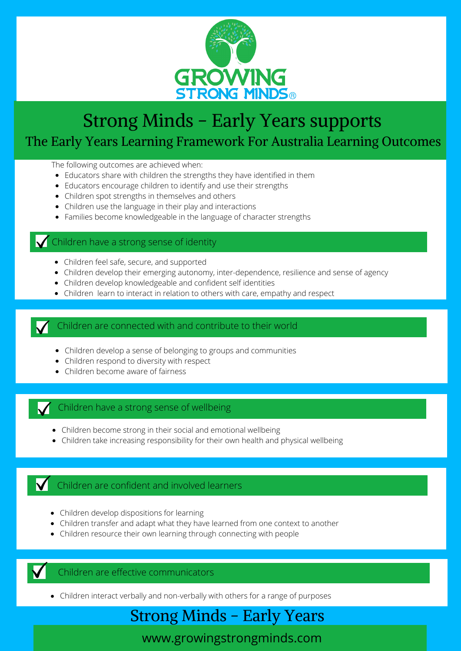

# Strong Minds - Early Years supports The Early Years Learning Framework For Australia Learning Outcomes

The following outcomes are achieved when:

- Educators share with children the strengths they have identified in them
- Educators encourage children to identify and use their strengths
- Children spot strengths in themselves and others
- Children use the language in their play and interactions
- Families become knowledgeable in the language of character strengths

#### Children have a strong sense of identity

- Children feel safe, secure, and supported
- Children develop their emerging autonomy, inter-dependence, resilience and sense of agency
- Children develop knowledgeable and confident self identities
- Children learn to interact in relation to others with care, empathy and respect

#### Children are connected with and contribute to their world

- Children develop a sense of belonging to groups and communities
- Children respond to diversity with respect
- Children become aware of fairness

#### Children have a strong sense of wellbeing

- Children become strong in their social and emotional wellbeing
- Children take increasing responsibility for their own health and physical wellbeing

#### **V** Children are confident and involved learners

- Children develop dispositions for learning
- Children transfer and adapt what they have learned from one context to another
- Children resource their own learning through connecting with people



Children are effective communicators

Children interact verbally and non-verbally with others for a range of purposes

## Strong Minds - Early Years

www.growingstrongminds.com